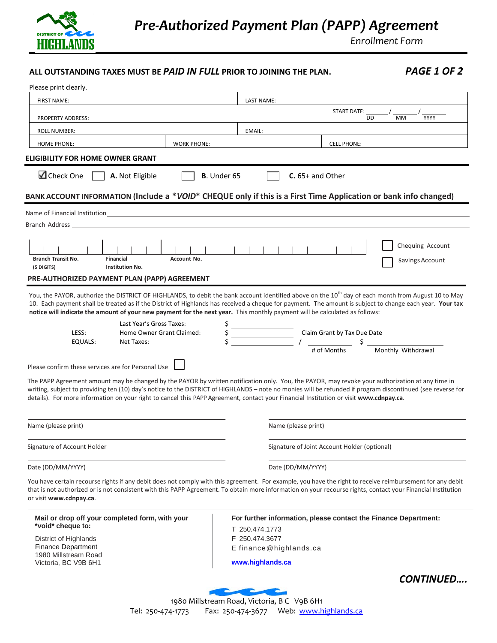

*Enrollment Form*

## **ALL OUTSTANDING TAXES MUST BE** *PAID IN FULL* **PRIOR TO JOINING THE PLAN.** *PAGE 1 OF 2*

| Please print clearly.                                                                                                                                                                                                                                                                                                                                                                                                                                                                                                                                                                                      |                                              |                                                                  |
|------------------------------------------------------------------------------------------------------------------------------------------------------------------------------------------------------------------------------------------------------------------------------------------------------------------------------------------------------------------------------------------------------------------------------------------------------------------------------------------------------------------------------------------------------------------------------------------------------------|----------------------------------------------|------------------------------------------------------------------|
| <b>FIRST NAME:</b>                                                                                                                                                                                                                                                                                                                                                                                                                                                                                                                                                                                         | LAST NAME:                                   |                                                                  |
| <b>PROPERTY ADDRESS:</b>                                                                                                                                                                                                                                                                                                                                                                                                                                                                                                                                                                                   |                                              | <b>START DATE:</b><br>YYYY<br>DD<br>MM                           |
| <b>ROLL NUMBER:</b>                                                                                                                                                                                                                                                                                                                                                                                                                                                                                                                                                                                        | EMAIL:                                       |                                                                  |
| <b>HOME PHONE:</b><br><b>WORK PHONE:</b>                                                                                                                                                                                                                                                                                                                                                                                                                                                                                                                                                                   |                                              | <b>CELL PHONE:</b>                                               |
| ELIGIBILITY FOR HOME OWNER GRANT                                                                                                                                                                                                                                                                                                                                                                                                                                                                                                                                                                           |                                              |                                                                  |
| Check One<br>A. Not Eligible                                                                                                                                                                                                                                                                                                                                                                                                                                                                                                                                                                               | <b>B.</b> Under 65                           | $C. 65+$ and Other                                               |
| BANK ACCOUNT INFORMATION (Include a *VOID* CHEQUE only if this is a First Time Application or bank info changed)                                                                                                                                                                                                                                                                                                                                                                                                                                                                                           |                                              |                                                                  |
| Name of Financial Institution                                                                                                                                                                                                                                                                                                                                                                                                                                                                                                                                                                              |                                              |                                                                  |
| Branch Address and the control of the control of the control of the control of the control of the control of the control of the control of the control of the control of the control of the control of the control of the cont                                                                                                                                                                                                                                                                                                                                                                             |                                              |                                                                  |
| <b>Branch Transit No.</b><br><b>Financial</b><br><b>Account No.</b><br>(5 DIGITS)<br><b>Institution No.</b>                                                                                                                                                                                                                                                                                                                                                                                                                                                                                                |                                              | Chequing Account<br>Savings Account                              |
| PRE-AUTHORIZED PAYMENT PLAN (PAPP) AGREEMENT                                                                                                                                                                                                                                                                                                                                                                                                                                                                                                                                                               |                                              |                                                                  |
| Last Year's Gross Taxes:<br>LESS:<br>Home Owner Grant Claimed:<br>EQUALS:<br>Net Taxes:<br>Please confirm these services are for Personal Use<br>The PAPP Agreement amount may be changed by the PAYOR by written notification only. You, the PAYOR, may revoke your authorization at any time in<br>writing, subject to providing ten (10) day's notice to the DISTRICT of HIGHLANDS - note no monies will be refunded if program discontinued (see reverse for<br>details). For more information on your right to cancel this PAPP Agreement, contact your Financial Institution or visit www.cdnpay.ca. |                                              | Claim Grant by Tax Due Date<br>Monthly Withdrawal<br># of Months |
| Name (please print)                                                                                                                                                                                                                                                                                                                                                                                                                                                                                                                                                                                        | Name (please print)                          |                                                                  |
| Signature of Account Holder                                                                                                                                                                                                                                                                                                                                                                                                                                                                                                                                                                                | Signature of Joint Account Holder (optional) |                                                                  |
| Date (DD/MM/YYYY)                                                                                                                                                                                                                                                                                                                                                                                                                                                                                                                                                                                          | Date (DD/MM/YYYY)                            |                                                                  |
| You have certain recourse rights if any debit does not comply with this agreement. For example, you have the right to receive reimbursement for any debit<br>that is not authorized or is not consistent with this PAPP Agreement. To obtain more information on your recourse rights, contact your Financial Institution<br>or visit www.cdnpay.ca.                                                                                                                                                                                                                                                       |                                              |                                                                  |
| Mail or drop off your completed form, with your<br>*void* cheque to:<br>District of Highlands                                                                                                                                                                                                                                                                                                                                                                                                                                                                                                              | T 250.474.1773<br>F 250.474.3677             | For further information, please contact the Finance Department:  |
| <b>Finance Department</b><br>1980 Millstream Road<br>Victoria, BC V9B 6H1                                                                                                                                                                                                                                                                                                                                                                                                                                                                                                                                  | E finance@highlands.ca<br>www.highlands.ca   |                                                                  |
|                                                                                                                                                                                                                                                                                                                                                                                                                                                                                                                                                                                                            |                                              | <b>CONTINUED</b>                                                 |

1980 Millstream Road, Victoria, B C V9B 6H1 Tel: 250-474-1773 Fax: 250-474-3677 Web: [www.highlands.ca](http://www.highlands.ca/)